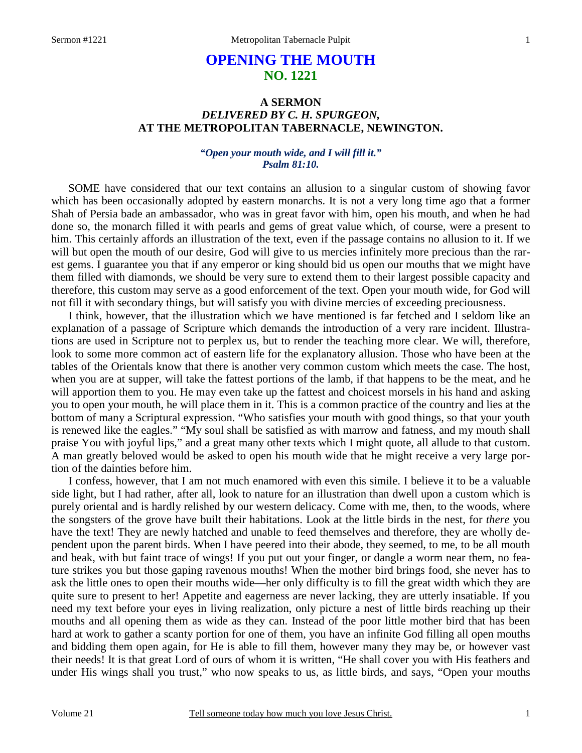# **OPENING THE MOUTH NO. 1221**

# **A SERMON**  *DELIVERED BY C. H. SPURGEON,*  **AT THE METROPOLITAN TABERNACLE, NEWINGTON.**

### *"Open your mouth wide, and I will fill it." Psalm 81:10.*

SOME have considered that our text contains an allusion to a singular custom of showing favor which has been occasionally adopted by eastern monarchs. It is not a very long time ago that a former Shah of Persia bade an ambassador, who was in great favor with him, open his mouth, and when he had done so, the monarch filled it with pearls and gems of great value which, of course, were a present to him. This certainly affords an illustration of the text, even if the passage contains no allusion to it. If we will but open the mouth of our desire, God will give to us mercies infinitely more precious than the rarest gems. I guarantee you that if any emperor or king should bid us open our mouths that we might have them filled with diamonds, we should be very sure to extend them to their largest possible capacity and therefore, this custom may serve as a good enforcement of the text. Open your mouth wide, for God will not fill it with secondary things, but will satisfy you with divine mercies of exceeding preciousness.

I think, however, that the illustration which we have mentioned is far fetched and I seldom like an explanation of a passage of Scripture which demands the introduction of a very rare incident. Illustrations are used in Scripture not to perplex us, but to render the teaching more clear. We will, therefore, look to some more common act of eastern life for the explanatory allusion. Those who have been at the tables of the Orientals know that there is another very common custom which meets the case. The host, when you are at supper, will take the fattest portions of the lamb, if that happens to be the meat, and he will apportion them to you. He may even take up the fattest and choicest morsels in his hand and asking you to open your mouth, he will place them in it. This is a common practice of the country and lies at the bottom of many a Scriptural expression. "Who satisfies your mouth with good things, so that your youth is renewed like the eagles." "My soul shall be satisfied as with marrow and fatness, and my mouth shall praise You with joyful lips," and a great many other texts which I might quote, all allude to that custom. A man greatly beloved would be asked to open his mouth wide that he might receive a very large portion of the dainties before him.

I confess, however, that I am not much enamored with even this simile. I believe it to be a valuable side light, but I had rather, after all, look to nature for an illustration than dwell upon a custom which is purely oriental and is hardly relished by our western delicacy. Come with me, then, to the woods, where the songsters of the grove have built their habitations. Look at the little birds in the nest, for *there* you have the text! They are newly hatched and unable to feed themselves and therefore, they are wholly dependent upon the parent birds. When I have peered into their abode, they seemed, to me, to be all mouth and beak, with but faint trace of wings! If you put out your finger, or dangle a worm near them, no feature strikes you but those gaping ravenous mouths! When the mother bird brings food, she never has to ask the little ones to open their mouths wide—her only difficulty is to fill the great width which they are quite sure to present to her! Appetite and eagerness are never lacking, they are utterly insatiable. If you need my text before your eyes in living realization, only picture a nest of little birds reaching up their mouths and all opening them as wide as they can. Instead of the poor little mother bird that has been hard at work to gather a scanty portion for one of them, you have an infinite God filling all open mouths and bidding them open again, for He is able to fill them, however many they may be, or however vast their needs! It is that great Lord of ours of whom it is written, "He shall cover you with His feathers and under His wings shall you trust," who now speaks to us, as little birds, and says, "Open your mouths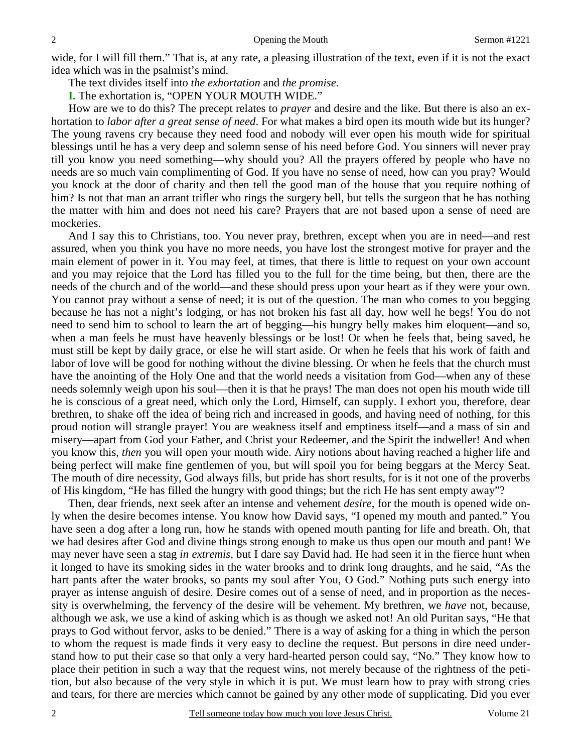wide, for I will fill them." That is, at any rate, a pleasing illustration of the text, even if it is not the exact idea which was in the psalmist's mind.

The text divides itself into *the exhortation* and *the promise*.

**I.** The exhortation is, "OPEN YOUR MOUTH WIDE."

How are we to do this? The precept relates to *prayer* and desire and the like. But there is also an exhortation to *labor after a great sense of need*. For what makes a bird open its mouth wide but its hunger? The young ravens cry because they need food and nobody will ever open his mouth wide for spiritual blessings until he has a very deep and solemn sense of his need before God. You sinners will never pray till you know you need something—why should you? All the prayers offered by people who have no needs are so much vain complimenting of God. If you have no sense of need, how can you pray? Would you knock at the door of charity and then tell the good man of the house that you require nothing of him? Is not that man an arrant trifler who rings the surgery bell, but tells the surgeon that he has nothing the matter with him and does not need his care? Prayers that are not based upon a sense of need are mockeries.

And I say this to Christians, too. You never pray, brethren, except when you are in need—and rest assured, when you think you have no more needs, you have lost the strongest motive for prayer and the main element of power in it. You may feel, at times, that there is little to request on your own account and you may rejoice that the Lord has filled you to the full for the time being, but then, there are the needs of the church and of the world—and these should press upon your heart as if they were your own. You cannot pray without a sense of need; it is out of the question. The man who comes to you begging because he has not a night's lodging, or has not broken his fast all day, how well he begs! You do not need to send him to school to learn the art of begging—his hungry belly makes him eloquent—and so, when a man feels he must have heavenly blessings or be lost! Or when he feels that, being saved, he must still be kept by daily grace, or else he will start aside. Or when he feels that his work of faith and labor of love will be good for nothing without the divine blessing. Or when he feels that the church must have the anointing of the Holy One and that the world needs a visitation from God—when any of these needs solemnly weigh upon his soul—then it is that he prays! The man does not open his mouth wide till he is conscious of a great need, which only the Lord, Himself, can supply. I exhort you, therefore, dear brethren, to shake off the idea of being rich and increased in goods, and having need of nothing, for this proud notion will strangle prayer! You are weakness itself and emptiness itself—and a mass of sin and misery—apart from God your Father, and Christ your Redeemer, and the Spirit the indweller! And when you know this, *then* you will open your mouth wide. Airy notions about having reached a higher life and being perfect will make fine gentlemen of you, but will spoil you for being beggars at the Mercy Seat. The mouth of dire necessity, God always fills, but pride has short results, for is it not one of the proverbs of His kingdom, "He has filled the hungry with good things; but the rich He has sent empty away"?

Then, dear friends, next seek after an intense and vehement *desire*, for the mouth is opened wide only when the desire becomes intense. You know how David says, "I opened my mouth and panted." You have seen a dog after a long run, how he stands with opened mouth panting for life and breath. Oh, that we had desires after God and divine things strong enough to make us thus open our mouth and pant! We may never have seen a stag *in extremis,* but I dare say David had. He had seen it in the fierce hunt when it longed to have its smoking sides in the water brooks and to drink long draughts, and he said, "As the hart pants after the water brooks, so pants my soul after You, O God." Nothing puts such energy into prayer as intense anguish of desire. Desire comes out of a sense of need, and in proportion as the necessity is overwhelming, the fervency of the desire will be vehement. My brethren, we *have* not, because, although we ask, we use a kind of asking which is as though we asked not! An old Puritan says, "He that prays to God without fervor, asks to be denied." There is a way of asking for a thing in which the person to whom the request is made finds it very easy to decline the request. But persons in dire need understand how to put their case so that only a very hard-hearted person could say, "No." They know how to place their petition in such a way that the request wins, not merely because of the rightness of the petition, but also because of the very style in which it is put. We must learn how to pray with strong cries and tears, for there are mercies which cannot be gained by any other mode of supplicating. Did you ever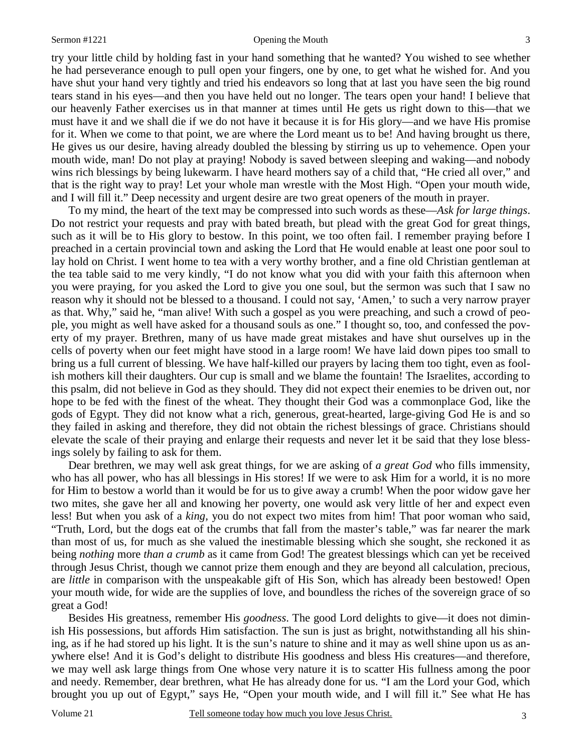#### Sermon #1221 Opening the Mouth

try your little child by holding fast in your hand something that he wanted? You wished to see whether he had perseverance enough to pull open your fingers, one by one, to get what he wished for. And you have shut your hand very tightly and tried his endeavors so long that at last you have seen the big round tears stand in his eyes—and then you have held out no longer. The tears open your hand! I believe that our heavenly Father exercises us in that manner at times until He gets us right down to this—that we must have it and we shall die if we do not have it because it is for His glory—and we have His promise for it. When we come to that point, we are where the Lord meant us to be! And having brought us there, He gives us our desire, having already doubled the blessing by stirring us up to vehemence. Open your mouth wide, man! Do not play at praying! Nobody is saved between sleeping and waking—and nobody wins rich blessings by being lukewarm. I have heard mothers say of a child that, "He cried all over," and that is the right way to pray! Let your whole man wrestle with the Most High. "Open your mouth wide, and I will fill it." Deep necessity and urgent desire are two great openers of the mouth in prayer.

To my mind, the heart of the text may be compressed into such words as these—*Ask for large things*. Do not restrict your requests and pray with bated breath, but plead with the great God for great things, such as it will be to His glory to bestow. In this point, we too often fail. I remember praying before I preached in a certain provincial town and asking the Lord that He would enable at least one poor soul to lay hold on Christ. I went home to tea with a very worthy brother, and a fine old Christian gentleman at the tea table said to me very kindly, "I do not know what you did with your faith this afternoon when you were praying, for you asked the Lord to give you one soul, but the sermon was such that I saw no reason why it should not be blessed to a thousand. I could not say, 'Amen,' to such a very narrow prayer as that. Why," said he, "man alive! With such a gospel as you were preaching, and such a crowd of people, you might as well have asked for a thousand souls as one." I thought so, too, and confessed the poverty of my prayer. Brethren, many of us have made great mistakes and have shut ourselves up in the cells of poverty when our feet might have stood in a large room! We have laid down pipes too small to bring us a full current of blessing. We have half-killed our prayers by lacing them too tight, even as foolish mothers kill their daughters. Our cup is small and we blame the fountain! The Israelites, according to this psalm, did not believe in God as they should. They did not expect their enemies to be driven out, nor hope to be fed with the finest of the wheat. They thought their God was a commonplace God, like the gods of Egypt. They did not know what a rich, generous, great-hearted, large-giving God He is and so they failed in asking and therefore, they did not obtain the richest blessings of grace. Christians should elevate the scale of their praying and enlarge their requests and never let it be said that they lose blessings solely by failing to ask for them.

Dear brethren, we may well ask great things, for we are asking of *a great God* who fills immensity, who has all power, who has all blessings in His stores! If we were to ask Him for a world, it is no more for Him to bestow a world than it would be for us to give away a crumb! When the poor widow gave her two mites, she gave her all and knowing her poverty, one would ask very little of her and expect even less! But when you ask of a *king,* you do not expect two mites from him! That poor woman who said, "Truth, Lord, but the dogs eat of the crumbs that fall from the master's table," was far nearer the mark than most of us, for much as she valued the inestimable blessing which she sought, she reckoned it as being *nothing* more *than a crumb* as it came from God! The greatest blessings which can yet be received through Jesus Christ, though we cannot prize them enough and they are beyond all calculation, precious, are *little* in comparison with the unspeakable gift of His Son, which has already been bestowed! Open your mouth wide, for wide are the supplies of love, and boundless the riches of the sovereign grace of so great a God!

Besides His greatness, remember His *goodness*. The good Lord delights to give—it does not diminish His possessions, but affords Him satisfaction. The sun is just as bright, notwithstanding all his shining, as if he had stored up his light. It is the sun's nature to shine and it may as well shine upon us as anywhere else! And it is God's delight to distribute His goodness and bless His creatures—and therefore, we may well ask large things from One whose very nature it is to scatter His fullness among the poor and needy. Remember, dear brethren, what He has already done for us. "I am the Lord your God, which brought you up out of Egypt," says He, "Open your mouth wide, and I will fill it." See what He has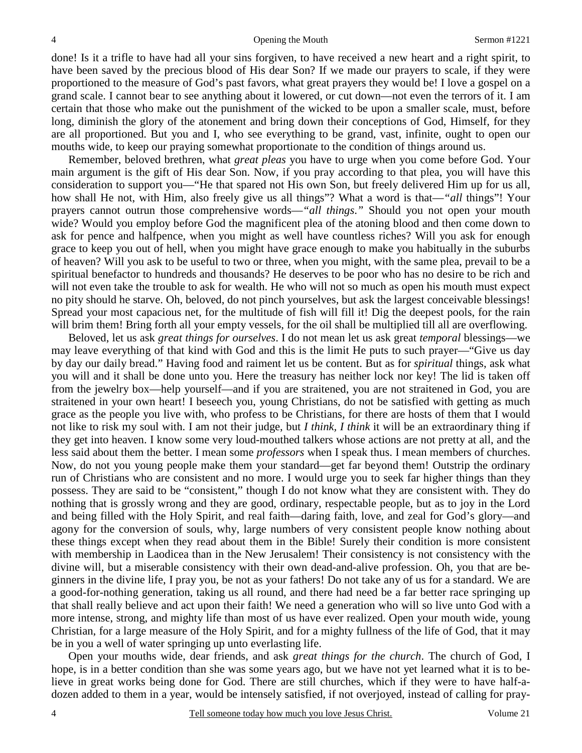done! Is it a trifle to have had all your sins forgiven, to have received a new heart and a right spirit, to have been saved by the precious blood of His dear Son? If we made our prayers to scale, if they were proportioned to the measure of God's past favors, what great prayers they would be! I love a gospel on a grand scale. I cannot bear to see anything about it lowered, or cut down—not even the terrors of it. I am certain that those who make out the punishment of the wicked to be upon a smaller scale, must, before long, diminish the glory of the atonement and bring down their conceptions of God, Himself, for they are all proportioned. But you and I, who see everything to be grand, vast, infinite, ought to open our mouths wide, to keep our praying somewhat proportionate to the condition of things around us.

Remember, beloved brethren, what *great pleas* you have to urge when you come before God. Your main argument is the gift of His dear Son. Now, if you pray according to that plea, you will have this consideration to support you—"He that spared not His own Son, but freely delivered Him up for us all, how shall He not, with Him, also freely give us all things"? What a word is that—*"all* things"! Your prayers cannot outrun those comprehensive words—*"all things*.*"* Should you not open your mouth wide? Would you employ before God the magnificent plea of the atoning blood and then come down to ask for pence and halfpence, when you might as well have countless riches? Will you ask for enough grace to keep you out of hell, when you might have grace enough to make you habitually in the suburbs of heaven? Will you ask to be useful to two or three, when you might, with the same plea, prevail to be a spiritual benefactor to hundreds and thousands? He deserves to be poor who has no desire to be rich and will not even take the trouble to ask for wealth. He who will not so much as open his mouth must expect no pity should he starve. Oh, beloved, do not pinch yourselves, but ask the largest conceivable blessings! Spread your most capacious net, for the multitude of fish will fill it! Dig the deepest pools, for the rain will brim them! Bring forth all your empty vessels, for the oil shall be multiplied till all are overflowing.

Beloved, let us ask *great things for ourselves*. I do not mean let us ask great *temporal* blessings—we may leave everything of that kind with God and this is the limit He puts to such prayer—"Give us day by day our daily bread." Having food and raiment let us be content. But as for *spiritual* things, ask what you will and it shall be done unto you. Here the treasury has neither lock nor key! The lid is taken off from the jewelry box—help yourself—and if you are straitened, you are not straitened in God, you are straitened in your own heart! I beseech you, young Christians, do not be satisfied with getting as much grace as the people you live with, who profess to be Christians, for there are hosts of them that I would not like to risk my soul with. I am not their judge, but *I think, I think* it will be an extraordinary thing if they get into heaven. I know some very loud-mouthed talkers whose actions are not pretty at all, and the less said about them the better. I mean some *professors* when I speak thus. I mean members of churches. Now, do not you young people make them your standard—get far beyond them! Outstrip the ordinary run of Christians who are consistent and no more. I would urge you to seek far higher things than they possess. They are said to be "consistent," though I do not know what they are consistent with. They do nothing that is grossly wrong and they are good, ordinary, respectable people, but as to joy in the Lord and being filled with the Holy Spirit, and real faith—daring faith, love, and zeal for God's glory—and agony for the conversion of souls, why, large numbers of very consistent people know nothing about these things except when they read about them in the Bible! Surely their condition is more consistent with membership in Laodicea than in the New Jerusalem! Their consistency is not consistency with the divine will, but a miserable consistency with their own dead-and-alive profession. Oh, you that are beginners in the divine life, I pray you, be not as your fathers! Do not take any of us for a standard. We are a good-for-nothing generation, taking us all round, and there had need be a far better race springing up that shall really believe and act upon their faith! We need a generation who will so live unto God with a more intense, strong, and mighty life than most of us have ever realized. Open your mouth wide, young Christian, for a large measure of the Holy Spirit, and for a mighty fullness of the life of God, that it may be in you a well of water springing up unto everlasting life.

Open your mouths wide, dear friends, and ask *great things for the church*. The church of God, I hope, is in a better condition than she was some years ago, but we have not yet learned what it is to believe in great works being done for God. There are still churches, which if they were to have half-adozen added to them in a year, would be intensely satisfied, if not overjoyed, instead of calling for pray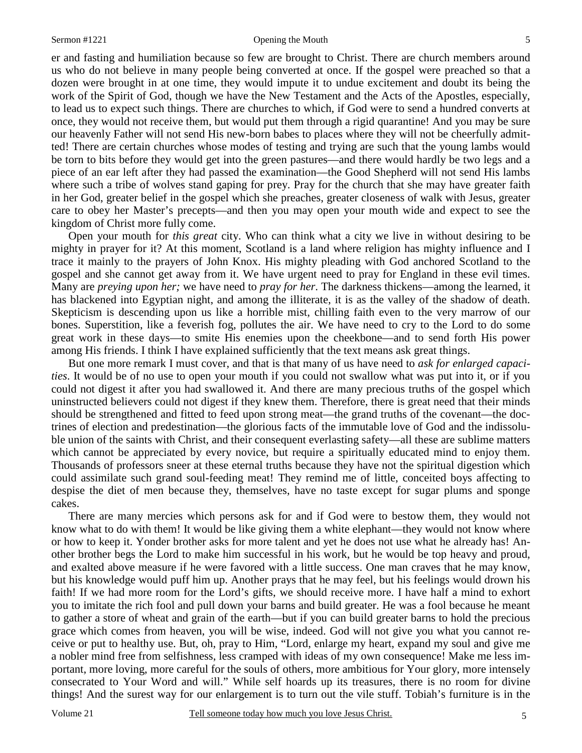er and fasting and humiliation because so few are brought to Christ. There are church members around us who do not believe in many people being converted at once. If the gospel were preached so that a dozen were brought in at one time, they would impute it to undue excitement and doubt its being the work of the Spirit of God, though we have the New Testament and the Acts of the Apostles, especially, to lead us to expect such things. There are churches to which, if God were to send a hundred converts at once, they would not receive them, but would put them through a rigid quarantine! And you may be sure our heavenly Father will not send His new-born babes to places where they will not be cheerfully admitted! There are certain churches whose modes of testing and trying are such that the young lambs would be torn to bits before they would get into the green pastures—and there would hardly be two legs and a piece of an ear left after they had passed the examination—the Good Shepherd will not send His lambs where such a tribe of wolves stand gaping for prey. Pray for the church that she may have greater faith in her God, greater belief in the gospel which she preaches, greater closeness of walk with Jesus, greater care to obey her Master's precepts—and then you may open your mouth wide and expect to see the kingdom of Christ more fully come.

Open your mouth for *this great* city. Who can think what a city we live in without desiring to be mighty in prayer for it? At this moment, Scotland is a land where religion has mighty influence and I trace it mainly to the prayers of John Knox. His mighty pleading with God anchored Scotland to the gospel and she cannot get away from it. We have urgent need to pray for England in these evil times. Many are *preying upon her;* we have need to *pray for her*. The darkness thickens—among the learned, it has blackened into Egyptian night, and among the illiterate, it is as the valley of the shadow of death. Skepticism is descending upon us like a horrible mist, chilling faith even to the very marrow of our bones. Superstition, like a feverish fog, pollutes the air. We have need to cry to the Lord to do some great work in these days—to smite His enemies upon the cheekbone—and to send forth His power among His friends. I think I have explained sufficiently that the text means ask great things.

But one more remark I must cover, and that is that many of us have need to *ask for enlarged capacities*. It would be of no use to open your mouth if you could not swallow what was put into it, or if you could not digest it after you had swallowed it. And there are many precious truths of the gospel which uninstructed believers could not digest if they knew them. Therefore, there is great need that their minds should be strengthened and fitted to feed upon strong meat—the grand truths of the covenant—the doctrines of election and predestination—the glorious facts of the immutable love of God and the indissoluble union of the saints with Christ, and their consequent everlasting safety—all these are sublime matters which cannot be appreciated by every novice, but require a spiritually educated mind to enjoy them. Thousands of professors sneer at these eternal truths because they have not the spiritual digestion which could assimilate such grand soul-feeding meat! They remind me of little, conceited boys affecting to despise the diet of men because they, themselves, have no taste except for sugar plums and sponge cakes.

There are many mercies which persons ask for and if God were to bestow them, they would not know what to do with them! It would be like giving them a white elephant—they would not know where or how to keep it. Yonder brother asks for more talent and yet he does not use what he already has! Another brother begs the Lord to make him successful in his work, but he would be top heavy and proud, and exalted above measure if he were favored with a little success. One man craves that he may know, but his knowledge would puff him up. Another prays that he may feel, but his feelings would drown his faith! If we had more room for the Lord's gifts, we should receive more. I have half a mind to exhort you to imitate the rich fool and pull down your barns and build greater. He was a fool because he meant to gather a store of wheat and grain of the earth—but if you can build greater barns to hold the precious grace which comes from heaven, you will be wise, indeed. God will not give you what you cannot receive or put to healthy use. But, oh, pray to Him, "Lord, enlarge my heart, expand my soul and give me a nobler mind free from selfishness, less cramped with ideas of my own consequence! Make me less important, more loving, more careful for the souls of others, more ambitious for Your glory, more intensely consecrated to Your Word and will." While self hoards up its treasures, there is no room for divine things! And the surest way for our enlargement is to turn out the vile stuff. Tobiah's furniture is in the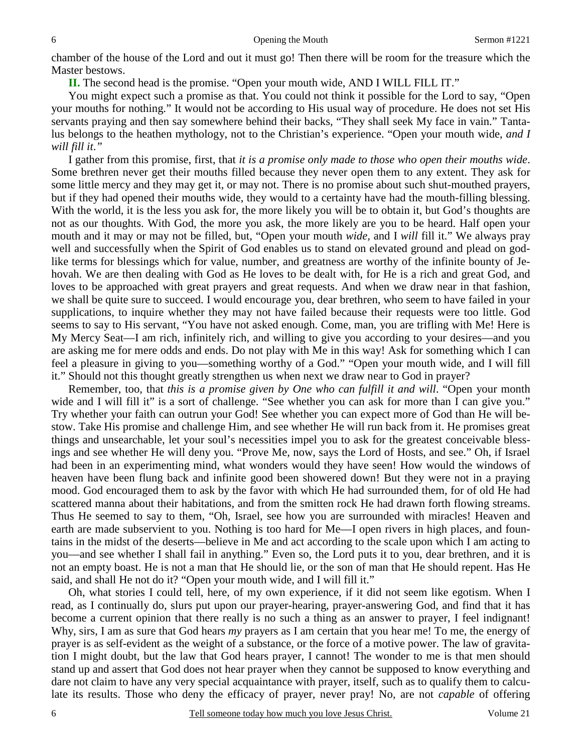chamber of the house of the Lord and out it must go! Then there will be room for the treasure which the Master bestows.

**II.** The second head is the promise. "Open your mouth wide, AND I WILL FILL IT."

You might expect such a promise as that. You could not think it possible for the Lord to say, "Open your mouths for nothing." It would not be according to His usual way of procedure. He does not set His servants praying and then say somewhere behind their backs, "They shall seek My face in vain." Tantalus belongs to the heathen mythology, not to the Christian's experience. "Open your mouth wide, *and I will fill it*.*"* 

I gather from this promise, first, that *it is a promise only made to those who open their mouths wide*. Some brethren never get their mouths filled because they never open them to any extent. They ask for some little mercy and they may get it, or may not. There is no promise about such shut-mouthed prayers, but if they had opened their mouths wide, they would to a certainty have had the mouth-filling blessing. With the world, it is the less you ask for, the more likely you will be to obtain it, but God's thoughts are not as our thoughts. With God, the more you ask, the more likely are you to be heard. Half open your mouth and it may or may not be filled, but, "Open your mouth *wide,* and I *will* fill it." We always pray well and successfully when the Spirit of God enables us to stand on elevated ground and plead on godlike terms for blessings which for value, number, and greatness are worthy of the infinite bounty of Jehovah. We are then dealing with God as He loves to be dealt with, for He is a rich and great God, and loves to be approached with great prayers and great requests. And when we draw near in that fashion, we shall be quite sure to succeed. I would encourage you, dear brethren, who seem to have failed in your supplications, to inquire whether they may not have failed because their requests were too little. God seems to say to His servant, "You have not asked enough. Come, man, you are trifling with Me! Here is My Mercy Seat—I am rich, infinitely rich, and willing to give you according to your desires—and you are asking me for mere odds and ends. Do not play with Me in this way! Ask for something which I can feel a pleasure in giving to you—something worthy of a God." "Open your mouth wide, and I will fill it." Should not this thought greatly strengthen us when next we draw near to God in prayer?

Remember, too, that *this is a promise given by One who can fulfill it and will*. "Open your month wide and I will fill it" is a sort of challenge. "See whether you can ask for more than I can give you." Try whether your faith can outrun your God! See whether you can expect more of God than He will bestow. Take His promise and challenge Him, and see whether He will run back from it. He promises great things and unsearchable, let your soul's necessities impel you to ask for the greatest conceivable blessings and see whether He will deny you. "Prove Me, now, says the Lord of Hosts, and see." Oh, if Israel had been in an experimenting mind, what wonders would they have seen! How would the windows of heaven have been flung back and infinite good been showered down! But they were not in a praying mood. God encouraged them to ask by the favor with which He had surrounded them, for of old He had scattered manna about their habitations, and from the smitten rock He had drawn forth flowing streams. Thus He seemed to say to them, "Oh, Israel, see how you are surrounded with miracles! Heaven and earth are made subservient to you. Nothing is too hard for Me—I open rivers in high places, and fountains in the midst of the deserts—believe in Me and act according to the scale upon which I am acting to you—and see whether I shall fail in anything." Even so, the Lord puts it to you, dear brethren, and it is not an empty boast. He is not a man that He should lie, or the son of man that He should repent. Has He said, and shall He not do it? "Open your mouth wide, and I will fill it."

Oh, what stories I could tell, here, of my own experience, if it did not seem like egotism. When I read, as I continually do, slurs put upon our prayer-hearing, prayer-answering God, and find that it has become a current opinion that there really is no such a thing as an answer to prayer, I feel indignant! Why, sirs, I am as sure that God hears *my* prayers as I am certain that you hear me! To me, the energy of prayer is as self-evident as the weight of a substance, or the force of a motive power. The law of gravitation I might doubt, but the law that God hears prayer, I cannot! The wonder to me is that men should stand up and assert that God does not hear prayer when they cannot be supposed to know everything and dare not claim to have any very special acquaintance with prayer, itself, such as to qualify them to calculate its results. Those who deny the efficacy of prayer, never pray! No, are not *capable* of offering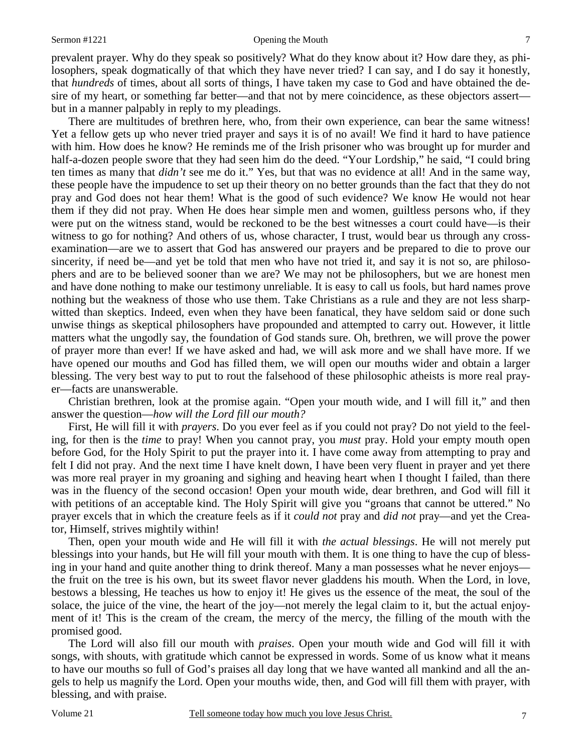#### Sermon #1221 Opening the Mouth

prevalent prayer. Why do they speak so positively? What do they know about it? How dare they, as philosophers, speak dogmatically of that which they have never tried? I can say, and I do say it honestly, that *hundreds* of times, about all sorts of things, I have taken my case to God and have obtained the desire of my heart, or something far better—and that not by mere coincidence, as these objectors assert but in a manner palpably in reply to my pleadings.

There are multitudes of brethren here, who, from their own experience, can bear the same witness! Yet a fellow gets up who never tried prayer and says it is of no avail! We find it hard to have patience with him. How does he know? He reminds me of the Irish prisoner who was brought up for murder and half-a-dozen people swore that they had seen him do the deed. "Your Lordship," he said, "I could bring ten times as many that *didn't* see me do it." Yes, but that was no evidence at all! And in the same way, these people have the impudence to set up their theory on no better grounds than the fact that they do not pray and God does not hear them! What is the good of such evidence? We know He would not hear them if they did not pray. When He does hear simple men and women, guiltless persons who, if they were put on the witness stand, would be reckoned to be the best witnesses a court could have—is their witness to go for nothing? And others of us, whose character, I trust, would bear us through any crossexamination—are we to assert that God has answered our prayers and be prepared to die to prove our sincerity, if need be—and yet be told that men who have not tried it, and say it is not so, are philosophers and are to be believed sooner than we are? We may not be philosophers, but we are honest men and have done nothing to make our testimony unreliable. It is easy to call us fools, but hard names prove nothing but the weakness of those who use them. Take Christians as a rule and they are not less sharpwitted than skeptics. Indeed, even when they have been fanatical, they have seldom said or done such unwise things as skeptical philosophers have propounded and attempted to carry out. However, it little matters what the ungodly say, the foundation of God stands sure. Oh, brethren, we will prove the power of prayer more than ever! If we have asked and had, we will ask more and we shall have more. If we have opened our mouths and God has filled them, we will open our mouths wider and obtain a larger blessing. The very best way to put to rout the falsehood of these philosophic atheists is more real prayer—facts are unanswerable.

Christian brethren, look at the promise again. "Open your mouth wide, and I will fill it," and then answer the question—*how will the Lord fill our mouth?*

First, He will fill it with *prayers*. Do you ever feel as if you could not pray? Do not yield to the feeling, for then is the *time* to pray! When you cannot pray, you *must* pray. Hold your empty mouth open before God, for the Holy Spirit to put the prayer into it. I have come away from attempting to pray and felt I did not pray. And the next time I have knelt down, I have been very fluent in prayer and yet there was more real prayer in my groaning and sighing and heaving heart when I thought I failed, than there was in the fluency of the second occasion! Open your mouth wide, dear brethren, and God will fill it with petitions of an acceptable kind. The Holy Spirit will give you "groans that cannot be uttered." No prayer excels that in which the creature feels as if it *could not* pray and *did not* pray—and yet the Creator, Himself, strives mightily within!

Then, open your mouth wide and He will fill it with *the actual blessings*. He will not merely put blessings into your hands, but He will fill your mouth with them. It is one thing to have the cup of blessing in your hand and quite another thing to drink thereof. Many a man possesses what he never enjoys the fruit on the tree is his own, but its sweet flavor never gladdens his mouth. When the Lord, in love, bestows a blessing, He teaches us how to enjoy it! He gives us the essence of the meat, the soul of the solace, the juice of the vine, the heart of the joy—not merely the legal claim to it, but the actual enjoyment of it! This is the cream of the cream, the mercy of the mercy, the filling of the mouth with the promised good.

The Lord will also fill our mouth with *praises*. Open your mouth wide and God will fill it with songs, with shouts, with gratitude which cannot be expressed in words. Some of us know what it means to have our mouths so full of God's praises all day long that we have wanted all mankind and all the angels to help us magnify the Lord. Open your mouths wide, then, and God will fill them with prayer, with blessing, and with praise.